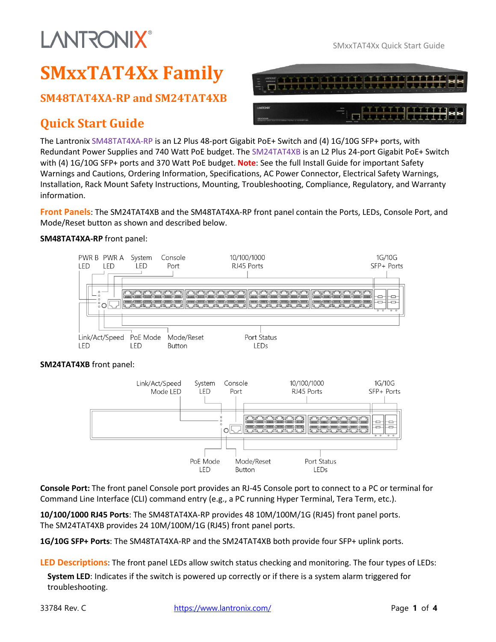## **LANTRONIX®**

TTTTTT

### **SMxxTAT4Xx Family**

#### **SM48TAT4XA-RP and SM24TAT4XB**

### **Quick Start Guide**

The Lantronix SM48TAT4XA-RP is an L2 Plus 48-port Gigabit PoE+ Switch and (4) 1G/10G SFP+ ports, with Redundant Power Supplies and 740 Watt PoE budget. The SM24TAT4XB is an L2 Plus 24-port Gigabit PoE+ Switch with (4) 1G/10G SFP+ ports and 370 Watt PoE budget. **Note**: See the full Install Guide for important Safety Warnings and Cautions, Ordering Information, Specifications, AC Power Connector, Electrical Safety Warnings, Installation, Rack Mount Safety Instructions, Mounting, Troubleshooting, Compliance, Regulatory, and Warranty information.

**Front Panels**: The SM24TAT4XB and the SM48TAT4XA-RP front panel contain the Ports, LEDs, Console Port, and Mode/Reset button as shown and described below.

#### **SM48TAT4XA-RP** front panel:



#### **SM24TAT4XB** front panel:



**Console Port:** The front panel Console port provides an RJ-45 Console port to connect to a PC or terminal for Command Line Interface (CLI) command entry (e.g., a PC running Hyper Terminal, Tera Term, etc.).

**10/100/1000 RJ45 Ports**: The SM48TAT4XA-RP provides 48 10M/100M/1G (RJ45) front panel ports. The SM24TAT4XB provides 24 10M/100M/1G (RJ45) front panel ports.

**1G/10G SFP+ Ports**: The SM48TAT4XA-RP and the SM24TAT4XB both provide four SFP+ uplink ports.

**LED Descriptions**: The front panel LEDs allow switch status checking and monitoring. The four types of LEDs:

**System LED**: Indicates if the switch is powered up correctly or if there is a system alarm triggered for troubleshooting.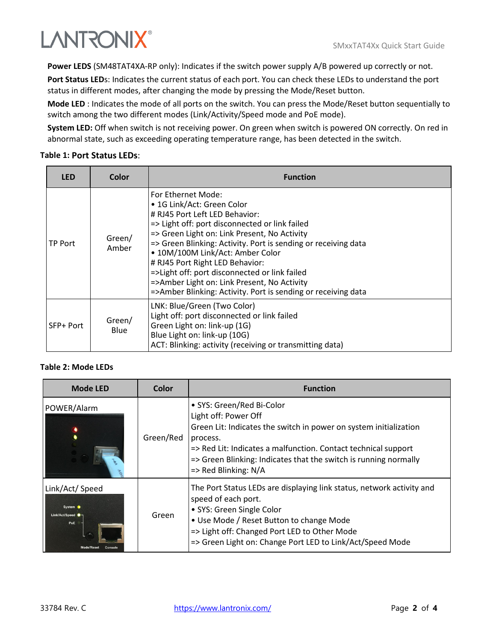

**Power LEDS** (SM48TAT4XA-RP only): Indicates if the switch power supply A/B powered up correctly or not.

Port Status LEDs: Indicates the current status of each port. You can check these LEDs to understand the port status in different modes, after changing the mode by pressing the Mode/Reset button.

**Mode LED** : Indicates the mode of all ports on the switch. You can press the Mode/Reset button sequentially to switch among the two different modes (Link/Activity/Speed mode and PoE mode).

**System LED:** Off when switch is not receiving power. On green when switch is powered ON correctly. On red in abnormal state, such as exceeding operating temperature range, has been detected in the switch.

#### **Table 1: Port Status LEDs**:

| <b>LED</b> | Color                 | <b>Function</b>                                                                                                                                                                                                                                                                                                                                                                                                                                                                                |
|------------|-----------------------|------------------------------------------------------------------------------------------------------------------------------------------------------------------------------------------------------------------------------------------------------------------------------------------------------------------------------------------------------------------------------------------------------------------------------------------------------------------------------------------------|
| TP Port    | Green/<br>Amber       | For Ethernet Mode:<br>• 1G Link/Act: Green Color<br># RJ45 Port Left LED Behavior:<br>=> Light off: port disconnected or link failed<br>=> Green Light on: Link Present, No Activity<br>=> Green Blinking: Activity. Port is sending or receiving data<br>• 10M/100M Link/Act: Amber Color<br># RJ45 Port Right LED Behavior:<br>=>Light off: port disconnected or link failed<br>=>Amber Light on: Link Present, No Activity<br>=>Amber Blinking: Activity. Port is sending or receiving data |
| SFP+ Port  | Green/<br><b>Blue</b> | LNK: Blue/Green (Two Color)<br>Light off: port disconnected or link failed<br>Green Light on: link-up (1G)<br>Blue Light on: link-up (10G)<br>ACT: Blinking: activity (receiving or transmitting data)                                                                                                                                                                                                                                                                                         |

#### **Table 2: Mode LEDs**

| <b>Mode LED</b>                                                 | Color     | <b>Function</b>                                                                                                                                                                                                                                                                                             |
|-----------------------------------------------------------------|-----------|-------------------------------------------------------------------------------------------------------------------------------------------------------------------------------------------------------------------------------------------------------------------------------------------------------------|
| POWER/Alarm                                                     | Green/Red | • SYS: Green/Red Bi-Color<br>Light off: Power Off<br>Green Lit: Indicates the switch in power on system initialization<br>process.<br>=> Red Lit: Indicates a malfunction. Contact technical support<br>=> Green Blinking: Indicates that the switch is running normally<br>$\Rightarrow$ Red Blinking: N/A |
| Link/Act/ Speed<br>System <sup>O</sup><br>Link/Act/Speed<br>PoE | Green     | The Port Status LEDs are displaying link status, network activity and<br>speed of each port.<br>• SYS: Green Single Color<br>• Use Mode / Reset Button to change Mode<br>=> Light off: Changed Port LED to Other Mode<br>=> Green Light on: Change Port LED to Link/Act/Speed Mode                          |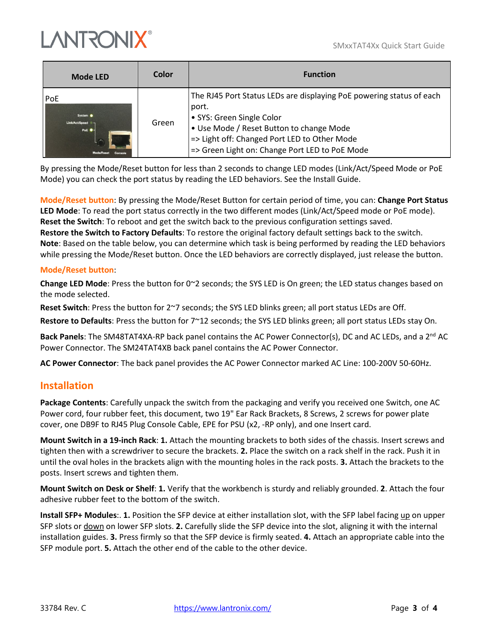SMxxTAT4Xx Quick Start Guide



| <b>Mode LED</b>                                                   | Color | <b>Function</b>                                                                                                                                                                                                                                          |
|-------------------------------------------------------------------|-------|----------------------------------------------------------------------------------------------------------------------------------------------------------------------------------------------------------------------------------------------------------|
| PoE<br>System <sup>O</sup><br>Link/Act/Speed .<br>PoE $\bullet$ - | Green | The RJ45 Port Status LEDs are displaying PoE powering status of each<br>port.<br>• SYS: Green Single Color<br>• Use Mode / Reset Button to change Mode<br>=> Light off: Changed Port LED to Other Mode<br>=> Green Light on: Change Port LED to PoE Mode |

By pressing the Mode/Reset button for less than 2 seconds to change LED modes (Link/Act/Speed Mode or PoE Mode) you can check the port status by reading the LED behaviors. See the Install Guide.

**Mode/Reset button**: By pressing the Mode/Reset Button for certain period of time, you can: **Change Port Status LED Mode**: To read the port status correctly in the two different modes (Link/Act/Speed mode or PoE mode). **Reset the Switch**: To reboot and get the switch back to the previous configuration settings saved. **Restore the Switch to Factory Defaults**: To restore the original factory default settings back to the switch. **Note**: Based on the table below, you can determine which task is being performed by reading the LED behaviors while pressing the Mode/Reset button. Once the LED behaviors are correctly displayed, just release the button.

#### **Mode/Reset button**:

**Change LED Mode**: Press the button for 0~2 seconds; the SYS LED is On green; the LED status changes based on the mode selected.

**Reset Switch**: Press the button for 2~7 seconds; the SYS LED blinks green; all port status LEDs are Off.

**Restore to Defaults**: Press the button for 7~12 seconds; the SYS LED blinks green; all port status LEDs stay On.

**Back Panels**: The SM48TAT4XA-RP back panel contains the AC Power Connector(s), DC and AC LEDs, and a 2<sup>nd</sup> AC Power Connector. The SM24TAT4XB back panel contains the AC Power Connector.

**AC Power Connector**: The back panel provides the AC Power Connector marked AC Line: 100-200V 50-60Hz.

#### **Installation**

**Package Contents**: Carefully unpack the switch from the packaging and verify you received one Switch, one AC Power cord, four rubber feet, this document, two 19" Ear Rack Brackets, 8 Screws, 2 screws for power plate cover, one DB9F to RJ45 Plug Console Cable, EPE for PSU (x2, -RP only), and one Insert card.

**Mount Switch in a 19-inch Rack**: **1.** Attach the mounting brackets to both sides of the chassis. Insert screws and tighten then with a screwdriver to secure the brackets. **2.** Place the switch on a rack shelf in the rack. Push it in until the oval holes in the brackets align with the mounting holes in the rack posts. **3.** Attach the brackets to the posts. Insert screws and tighten them.

**Mount Switch on Desk or Shelf**: **1.** Verify that the workbench is sturdy and reliably grounded. **2**. Attach the four adhesive rubber feet to the bottom of the switch.

**Install SFP+ Modules**:. **1.** Position the SFP device at either installation slot, with the SFP label facing up on upper SFP slots or down on lower SFP slots. **2.** Carefully slide the SFP device into the slot, aligning it with the internal installation guides. **3.** Press firmly so that the SFP device is firmly seated. **4.** Attach an appropriate cable into the SFP module port. **5.** Attach the other end of the cable to the other device.